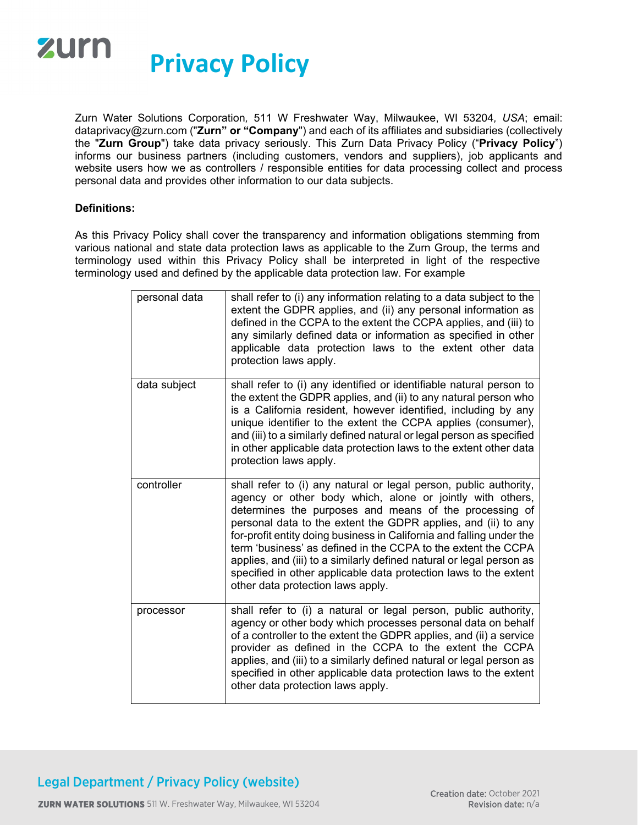

Zurn Water Solutions Corporation*,* 511 W Freshwater Way, Milwaukee, WI 53204*, USA*; email: dataprivacy@zurn.com ("**Zurn" or "Company**") and each of its affiliates and subsidiaries (collectively the "**Zurn Group**") take data privacy seriously. This Zurn Data Privacy Policy ("**Privacy Policy**") informs our business partners (including customers, vendors and suppliers), job applicants and website users how we as controllers / responsible entities for data processing collect and process personal data and provides other information to our data subjects.

#### **Definitions:**

As this Privacy Policy shall cover the transparency and information obligations stemming from various national and state data protection laws as applicable to the Zurn Group, the terms and terminology used within this Privacy Policy shall be interpreted in light of the respective terminology used and defined by the applicable data protection law. For example

| personal data | shall refer to (i) any information relating to a data subject to the<br>extent the GDPR applies, and (ii) any personal information as<br>defined in the CCPA to the extent the CCPA applies, and (iii) to<br>any similarly defined data or information as specified in other<br>applicable data protection laws to the extent other data<br>protection laws apply.                                                                                                                                                                                                                  |
|---------------|-------------------------------------------------------------------------------------------------------------------------------------------------------------------------------------------------------------------------------------------------------------------------------------------------------------------------------------------------------------------------------------------------------------------------------------------------------------------------------------------------------------------------------------------------------------------------------------|
| data subject  | shall refer to (i) any identified or identifiable natural person to<br>the extent the GDPR applies, and (ii) to any natural person who<br>is a California resident, however identified, including by any<br>unique identifier to the extent the CCPA applies (consumer),<br>and (iii) to a similarly defined natural or legal person as specified<br>in other applicable data protection laws to the extent other data<br>protection laws apply.                                                                                                                                    |
| controller    | shall refer to (i) any natural or legal person, public authority,<br>agency or other body which, alone or jointly with others,<br>determines the purposes and means of the processing of<br>personal data to the extent the GDPR applies, and (ii) to any<br>for-profit entity doing business in California and falling under the<br>term 'business' as defined in the CCPA to the extent the CCPA<br>applies, and (iii) to a similarly defined natural or legal person as<br>specified in other applicable data protection laws to the extent<br>other data protection laws apply. |
| processor     | shall refer to (i) a natural or legal person, public authority,<br>agency or other body which processes personal data on behalf<br>of a controller to the extent the GDPR applies, and (ii) a service<br>provider as defined in the CCPA to the extent the CCPA<br>applies, and (iii) to a similarly defined natural or legal person as<br>specified in other applicable data protection laws to the extent<br>other data protection laws apply.                                                                                                                                    |

# Legal Department / Privacy Policy (website)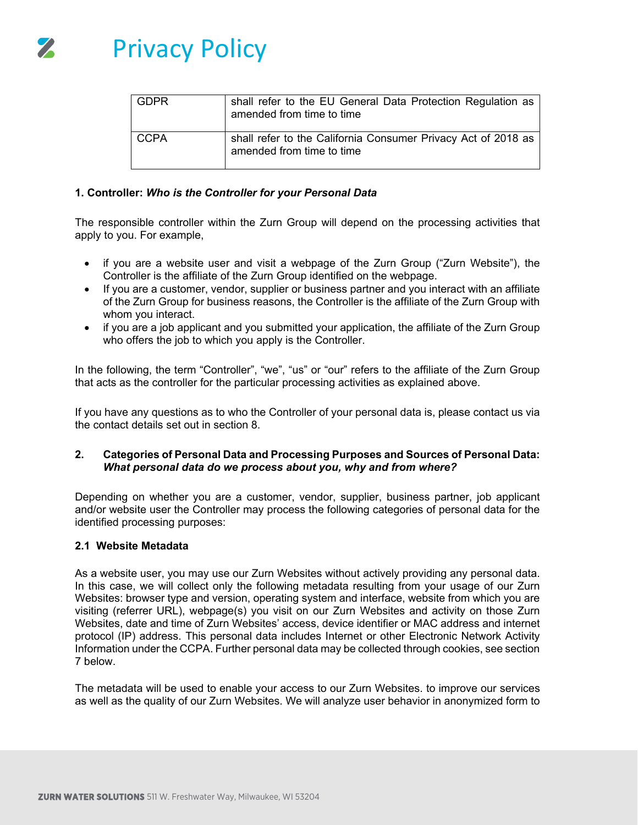

| <b>GDPR</b> | shall refer to the EU General Data Protection Regulation as<br>amended from time to time   |
|-------------|--------------------------------------------------------------------------------------------|
| CCPA        | shall refer to the California Consumer Privacy Act of 2018 as<br>amended from time to time |

## **1. Controller:** *Who is the Controller for your Personal Data*

The responsible controller within the Zurn Group will depend on the processing activities that apply to you. For example,

- if you are a website user and visit a webpage of the Zurn Group ("Zurn Website"), the Controller is the affiliate of the Zurn Group identified on the webpage.
- If you are a customer, vendor, supplier or business partner and you interact with an affiliate of the Zurn Group for business reasons, the Controller is the affiliate of the Zurn Group with whom you interact.
- if you are a job applicant and you submitted your application, the affiliate of the Zurn Group who offers the job to which you apply is the Controller.

In the following, the term "Controller", "we", "us" or "our" refers to the affiliate of the Zurn Group that acts as the controller for the particular processing activities as explained above.

If you have any questions as to who the Controller of your personal data is, please contact us via the contact details set out in section 8.

#### **2. Categories of Personal Data and Processing Purposes and Sources of Personal Data:**  *What personal data do we process about you, why and from where?*

Depending on whether you are a customer, vendor, supplier, business partner, job applicant and/or website user the Controller may process the following categories of personal data for the identified processing purposes:

#### **2.1 Website Metadata**

As a website user, you may use our Zurn Websites without actively providing any personal data. In this case, we will collect only the following metadata resulting from your usage of our Zurn Websites: browser type and version, operating system and interface, website from which you are visiting (referrer URL), webpage(s) you visit on our Zurn Websites and activity on those Zurn Websites, date and time of Zurn Websites' access, device identifier or MAC address and internet protocol (IP) address. This personal data includes Internet or other Electronic Network Activity Information under the CCPA. Further personal data may be collected through cookies, see section 7 below.

The metadata will be used to enable your access to our Zurn Websites. to improve our services as well as the quality of our Zurn Websites. We will analyze user behavior in anonymized form to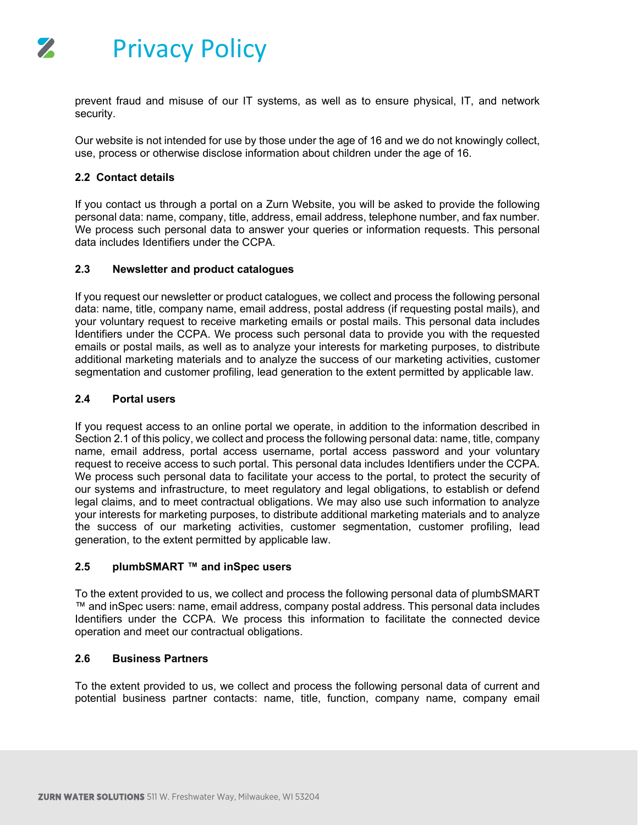

prevent fraud and misuse of our IT systems, as well as to ensure physical, IT, and network security.

Our website is not intended for use by those under the age of 16 and we do not knowingly collect, use, process or otherwise disclose information about children under the age of 16.

# **2.2 Contact details**

If you contact us through a portal on a Zurn Website, you will be asked to provide the following personal data: name, company, title, address, email address, telephone number, and fax number. We process such personal data to answer your queries or information requests. This personal data includes Identifiers under the CCPA.

# **2.3 Newsletter and product catalogues**

If you request our newsletter or product catalogues, we collect and process the following personal data: name, title, company name, email address, postal address (if requesting postal mails), and your voluntary request to receive marketing emails or postal mails. This personal data includes Identifiers under the CCPA. We process such personal data to provide you with the requested emails or postal mails, as well as to analyze your interests for marketing purposes, to distribute additional marketing materials and to analyze the success of our marketing activities, customer segmentation and customer profiling, lead generation to the extent permitted by applicable law.

# **2.4 Portal users**

If you request access to an online portal we operate, in addition to the information described in Section 2.1 of this policy, we collect and process the following personal data: name, title, company name, email address, portal access username, portal access password and your voluntary request to receive access to such portal. This personal data includes Identifiers under the CCPA. We process such personal data to facilitate your access to the portal, to protect the security of our systems and infrastructure, to meet regulatory and legal obligations, to establish or defend legal claims, and to meet contractual obligations. We may also use such information to analyze your interests for marketing purposes, to distribute additional marketing materials and to analyze the success of our marketing activities, customer segmentation, customer profiling, lead generation, to the extent permitted by applicable law.

# **2.5 plumbSMART ™ and inSpec users**

To the extent provided to us, we collect and process the following personal data of plumbSMART ™ and inSpec users: name, email address, company postal address. This personal data includes Identifiers under the CCPA. We process this information to facilitate the connected device operation and meet our contractual obligations.

# **2.6 Business Partners**

To the extent provided to us, we collect and process the following personal data of current and potential business partner contacts: name, title, function, company name, company email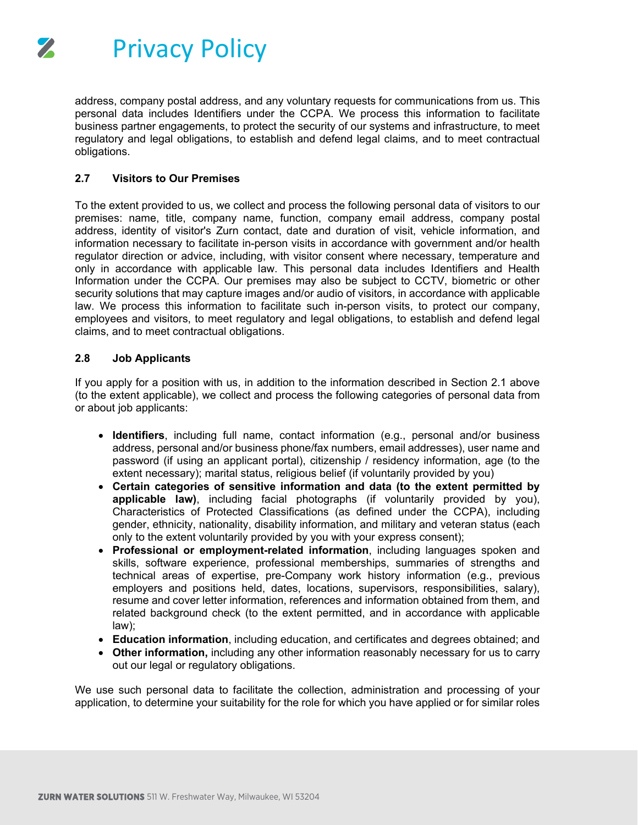

address, company postal address, and any voluntary requests for communications from us. This personal data includes Identifiers under the CCPA. We process this information to facilitate business partner engagements, to protect the security of our systems and infrastructure, to meet regulatory and legal obligations, to establish and defend legal claims, and to meet contractual obligations.

# **2.7 Visitors to Our Premises**

To the extent provided to us, we collect and process the following personal data of visitors to our premises: name, title, company name, function, company email address, company postal address, identity of visitor's Zurn contact, date and duration of visit, vehicle information, and information necessary to facilitate in-person visits in accordance with government and/or health regulator direction or advice, including, with visitor consent where necessary, temperature and only in accordance with applicable law. This personal data includes Identifiers and Health Information under the CCPA. Our premises may also be subject to CCTV, biometric or other security solutions that may capture images and/or audio of visitors, in accordance with applicable law. We process this information to facilitate such in-person visits, to protect our company, employees and visitors, to meet regulatory and legal obligations, to establish and defend legal claims, and to meet contractual obligations.

#### **2.8 Job Applicants**

If you apply for a position with us, in addition to the information described in Section 2.1 above (to the extent applicable), we collect and process the following categories of personal data from or about job applicants:

- **Identifiers**, including full name, contact information (e.g., personal and/or business address, personal and/or business phone/fax numbers, email addresses), user name and password (if using an applicant portal), citizenship / residency information, age (to the extent necessary); marital status, religious belief (if voluntarily provided by you)
- **Certain categories of sensitive information and data (to the extent permitted by applicable law)**, including facial photographs (if voluntarily provided by you), Characteristics of Protected Classifications (as defined under the CCPA), including gender, ethnicity, nationality, disability information, and military and veteran status (each only to the extent voluntarily provided by you with your express consent);
- **Professional or employment-related information**, including languages spoken and skills, software experience, professional memberships, summaries of strengths and technical areas of expertise, pre-Company work history information (e.g., previous employers and positions held, dates, locations, supervisors, responsibilities, salary), resume and cover letter information, references and information obtained from them, and related background check (to the extent permitted, and in accordance with applicable law);
- **Education information**, including education, and certificates and degrees obtained; and
- **Other information,** including any other information reasonably necessary for us to carry out our legal or regulatory obligations.

We use such personal data to facilitate the collection, administration and processing of your application, to determine your suitability for the role for which you have applied or for similar roles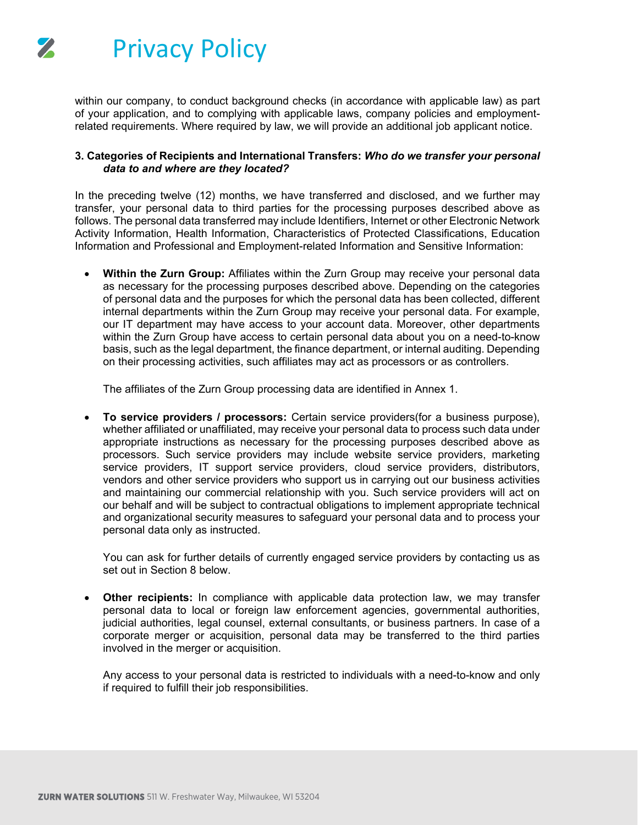

within our company, to conduct background checks (in accordance with applicable law) as part of your application, and to complying with applicable laws, company policies and employmentrelated requirements. Where required by law, we will provide an additional job applicant notice.

# **3. Categories of Recipients and International Transfers:** *Who do we transfer your personal data to and where are they located?*

In the preceding twelve (12) months, we have transferred and disclosed, and we further may transfer, your personal data to third parties for the processing purposes described above as follows. The personal data transferred may include Identifiers, Internet or other Electronic Network Activity Information, Health Information, Characteristics of Protected Classifications, Education Information and Professional and Employment-related Information and Sensitive Information:

• **Within the Zurn Group:** Affiliates within the Zurn Group may receive your personal data as necessary for the processing purposes described above. Depending on the categories of personal data and the purposes for which the personal data has been collected, different internal departments within the Zurn Group may receive your personal data. For example, our IT department may have access to your account data. Moreover, other departments within the Zurn Group have access to certain personal data about you on a need-to-know basis, such as the legal department, the finance department, or internal auditing. Depending on their processing activities, such affiliates may act as processors or as controllers.

The affiliates of the Zurn Group processing data are identified in Annex 1.

• **To service providers / processors:** Certain service providers(for a business purpose), whether affiliated or unaffiliated, may receive your personal data to process such data under appropriate instructions as necessary for the processing purposes described above as processors. Such service providers may include website service providers, marketing service providers, IT support service providers, cloud service providers, distributors, vendors and other service providers who support us in carrying out our business activities and maintaining our commercial relationship with you. Such service providers will act on our behalf and will be subject to contractual obligations to implement appropriate technical and organizational security measures to safeguard your personal data and to process your personal data only as instructed.

You can ask for further details of currently engaged service providers by contacting us as set out in Section 8 below.

• **Other recipients:** In compliance with applicable data protection law, we may transfer personal data to local or foreign law enforcement agencies, governmental authorities, judicial authorities, legal counsel, external consultants, or business partners. In case of a corporate merger or acquisition, personal data may be transferred to the third parties involved in the merger or acquisition.

Any access to your personal data is restricted to individuals with a need-to-know and only if required to fulfill their job responsibilities.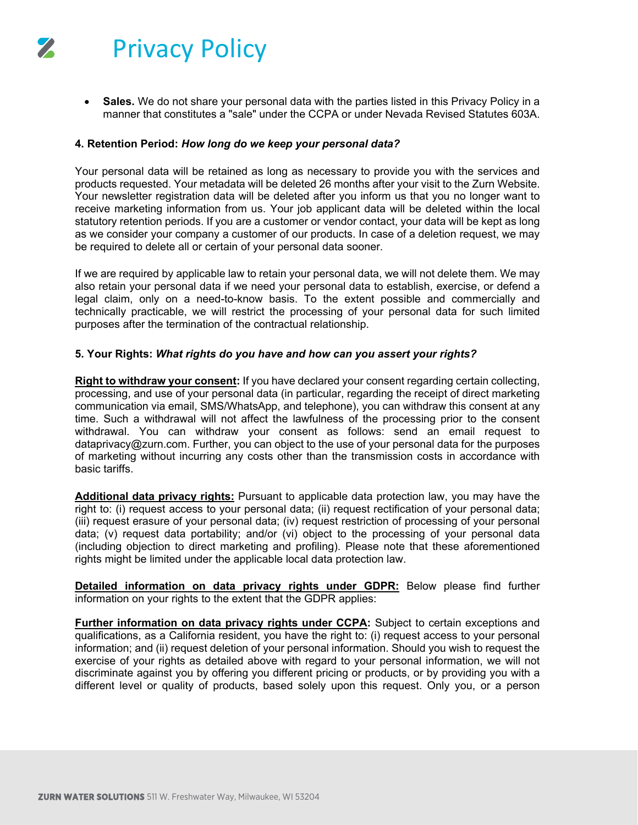

• **Sales.** We do not share your personal data with the parties listed in this Privacy Policy in a manner that constitutes a "sale" under the CCPA or under Nevada Revised Statutes 603A.

#### **4. Retention Period:** *How long do we keep your personal data?*

Your personal data will be retained as long as necessary to provide you with the services and products requested. Your metadata will be deleted 26 months after your visit to the Zurn Website. Your newsletter registration data will be deleted after you inform us that you no longer want to receive marketing information from us. Your job applicant data will be deleted within the local statutory retention periods. If you are a customer or vendor contact, your data will be kept as long as we consider your company a customer of our products. In case of a deletion request, we may be required to delete all or certain of your personal data sooner.

If we are required by applicable law to retain your personal data, we will not delete them. We may also retain your personal data if we need your personal data to establish, exercise, or defend a legal claim, only on a need-to-know basis. To the extent possible and commercially and technically practicable, we will restrict the processing of your personal data for such limited purposes after the termination of the contractual relationship.

#### **5. Your Rights:** *What rights do you have and how can you assert your rights?*

**Right to withdraw your consent:** If you have declared your consent regarding certain collecting, processing, and use of your personal data (in particular, regarding the receipt of direct marketing communication via email, SMS/WhatsApp, and telephone), you can withdraw this consent at any time. Such a withdrawal will not affect the lawfulness of the processing prior to the consent withdrawal. You can withdraw your consent as follows: send an email request to dataprivacy@zurn.com. Further, you can object to the use of your personal data for the purposes of marketing without incurring any costs other than the transmission costs in accordance with basic tariffs.

**Additional data privacy rights:** Pursuant to applicable data protection law, you may have the right to: (i) request access to your personal data; (ii) request rectification of your personal data; (iii) request erasure of your personal data; (iv) request restriction of processing of your personal data; (v) request data portability; and/or (vi) object to the processing of your personal data (including objection to direct marketing and profiling). Please note that these aforementioned rights might be limited under the applicable local data protection law.

**Detailed information on data privacy rights under GDPR:** Below please find further information on your rights to the extent that the GDPR applies:

**Further information on data privacy rights under CCPA:** Subject to certain exceptions and qualifications, as a California resident, you have the right to: (i) request access to your personal information; and (ii) request deletion of your personal information. Should you wish to request the exercise of your rights as detailed above with regard to your personal information, we will not discriminate against you by offering you different pricing or products, or by providing you with a different level or quality of products, based solely upon this request. Only you, or a person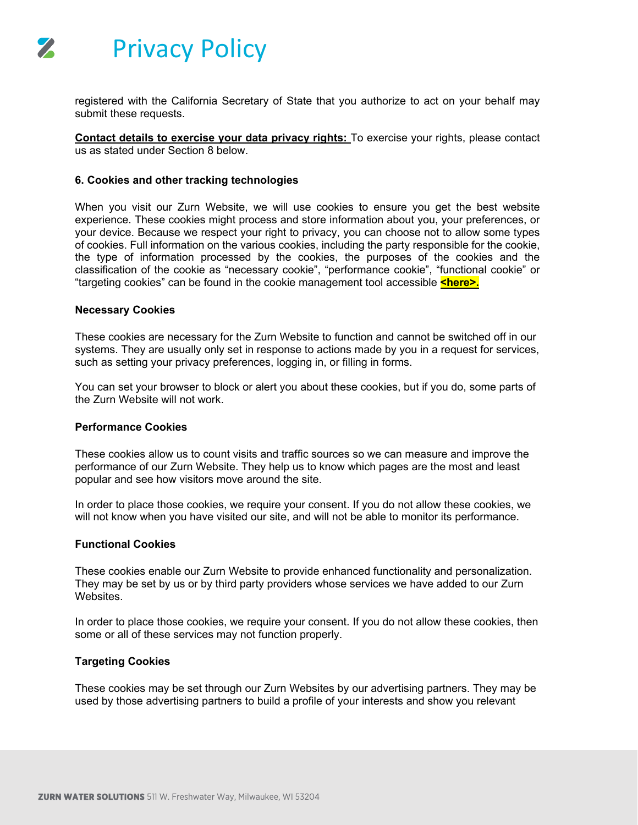

registered with the California Secretary of State that you authorize to act on your behalf may submit these requests.

**Contact details to exercise your data privacy rights:** To exercise your rights, please contact us as stated under Section 8 below.

## **6. Cookies and other tracking technologies**

When you visit our Zurn Website, we will use cookies to ensure you get the best website experience. These cookies might process and store information about you, your preferences, or your device. Because we respect your right to privacy, you can choose not to allow some types of cookies. Full information on the various cookies, including the party responsible for the cookie, the type of information processed by the cookies, the purposes of the cookies and the classification of the cookie as "necessary cookie", "performance cookie", "functional cookie" or "targeting cookies" can be found in the cookie management tool accessible **<here>.** 

#### **Necessary Cookies**

These cookies are necessary for the Zurn Website to function and cannot be switched off in our systems. They are usually only set in response to actions made by you in a request for services, such as setting your privacy preferences, logging in, or filling in forms.

You can set your browser to block or alert you about these cookies, but if you do, some parts of the Zurn Website will not work.

#### **Performance Cookies**

These cookies allow us to count visits and traffic sources so we can measure and improve the performance of our Zurn Website. They help us to know which pages are the most and least popular and see how visitors move around the site.

In order to place those cookies, we require your consent. If you do not allow these cookies, we will not know when you have visited our site, and will not be able to monitor its performance.

#### **Functional Cookies**

These cookies enable our Zurn Website to provide enhanced functionality and personalization. They may be set by us or by third party providers whose services we have added to our Zurn Websites.

In order to place those cookies, we require your consent. If you do not allow these cookies, then some or all of these services may not function properly.

#### **Targeting Cookies**

These cookies may be set through our Zurn Websites by our advertising partners. They may be used by those advertising partners to build a profile of your interests and show you relevant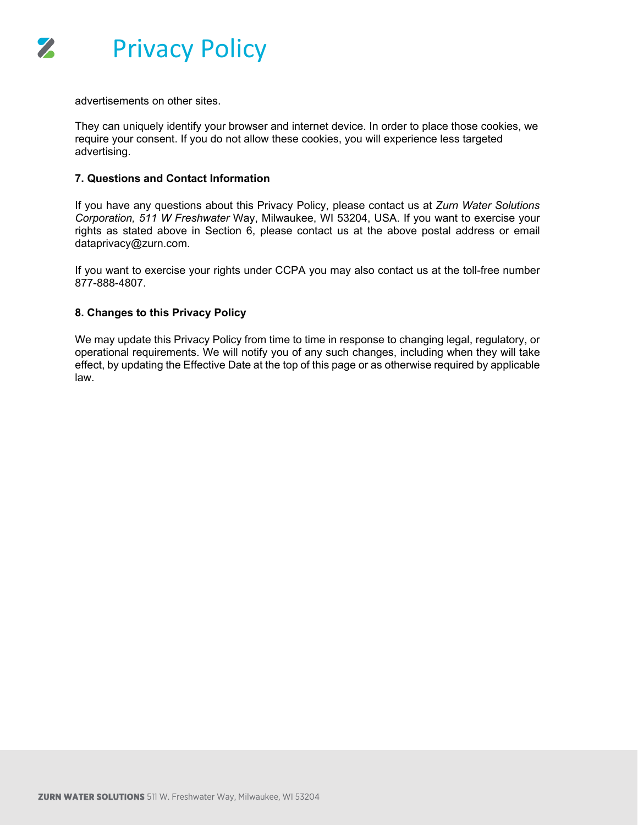

advertisements on other sites.

They can uniquely identify your browser and internet device. In order to place those cookies, we require your consent. If you do not allow these cookies, you will experience less targeted advertising.

#### **7. Questions and Contact Information**

If you have any questions about this Privacy Policy, please contact us at *Zurn Water Solutions Corporation, 511 W Freshwater* Way, Milwaukee, WI 53204, USA. If you want to exercise your rights as stated above in Section 6, please contact us at the above postal address or email dataprivacy@zurn.com.

If you want to exercise your rights under CCPA you may also contact us at the toll-free number 877-888-4807.

#### **8. Changes to this Privacy Policy**

We may update this Privacy Policy from time to time in response to changing legal, regulatory, or operational requirements. We will notify you of any such changes, including when they will take effect, by updating the Effective Date at the top of this page or as otherwise required by applicable law.